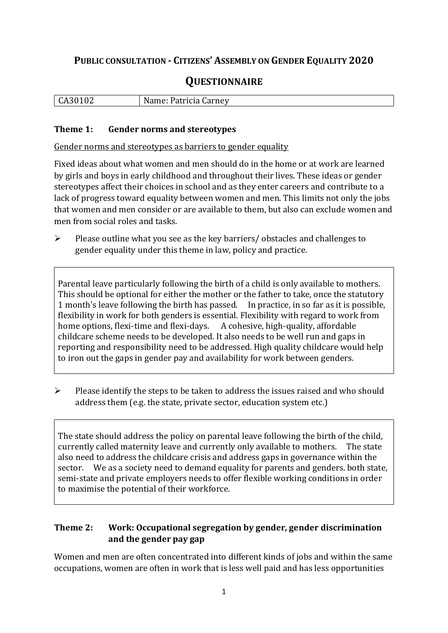## **PUBLIC CONSULTATION - CITIZENS' ASSEMBLY ON GENDER EQUALITY 2020**

# **QUESTIONNAIRE**

| l CA301<br>$\mathbf{u}$<br>$\cdot$ di<br>$\overline{ }$<br>ात<br>$\sim$ our LIC V<br>ິບເນ |
|-------------------------------------------------------------------------------------------|
|-------------------------------------------------------------------------------------------|

#### **Theme 1: Gender norms and stereotypes**

Gender norms and stereotypes as barriers to gender equality

Fixed ideas about what women and men should do in the home or at work are learned by girls and boys in early childhood and throughout their lives. These ideas or gender stereotypes affect their choices in school and as they enter careers and contribute to a lack of progress toward equality between women and men. This limits not only the jobs that women and men consider or are available to them, but also can exclude women and men from social roles and tasks.

➢ Please outline what you see as the key barriers/ obstacles and challenges to gender equality under this theme in law, policy and practice.

Parental leave particularly following the birth of a child is only available to mothers. This should be optional for either the mother or the father to take, once the statutory 1 month's leave following the birth has passed. In practice, in so far as it is possible, flexibility in work for both genders is essential. Flexibility with regard to work from home options, flexi-time and flexi-days. A cohesive, high-quality, affordable childcare scheme needs to be developed. It also needs to be well run and gaps in reporting and responsibility need to be addressed. High quality childcare would help to iron out the gaps in gender pay and availability for work between genders.

➢ Please identify the steps to be taken to address the issues raised and who should address them (e.g. the state, private sector, education system etc.)

The state should address the policy on parental leave following the birth of the child, currently called maternity leave and currently only available to mothers. The state also need to address the childcare crisis and address gaps in governance within the sector. We as a society need to demand equality for parents and genders. both state, semi-state and private employers needs to offer flexible working conditions in order to maximise the potential of their workforce.

#### **Theme 2: Work: Occupational segregation by gender, gender discrimination and the gender pay gap**

Women and men are often concentrated into different kinds of jobs and within the same occupations, women are often in work that is less well paid and has less opportunities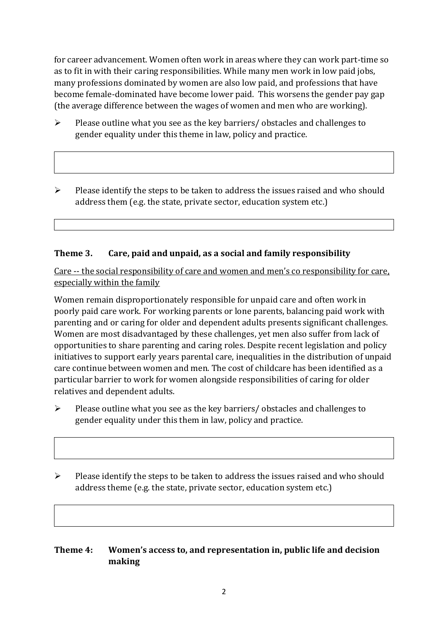for career advancement. Women often work in areas where they can work part-time so as to fit in with their caring responsibilities. While many men work in low paid jobs, many professions dominated by women are also low paid, and professions that have become female-dominated have become lower paid. This worsens the gender pay gap (the average difference between the wages of women and men who are working).

- ➢ Please outline what you see as the key barriers/ obstacles and challenges to gender equality under this theme in law, policy and practice.
- ➢ Please identify the steps to be taken to address the issues raised and who should address them (e.g. the state, private sector, education system etc.)

#### **Theme 3. Care, paid and unpaid, as a social and family responsibility**

Care -- the social responsibility of care and women and men's co responsibility for care, especially within the family

Women remain disproportionately responsible for unpaid care and often work in poorly paid care work. For working parents or [lone parents,](https://aran.library.nuigalway.ie/bitstream/handle/10379/6044/Millar_and_Crosse_Activation_Report.pdf?sequence=1&isAllowed=y) balancing paid work with parenting and or caring for older and dependent adults presents significant challenges. Women are [most disadvantaged by these challenges,](https://eige.europa.eu/gender-equality-index/game/IE/W) yet men also suffer from lack of opportunities to share parenting and caring roles. Despite recent legislation and policy initiatives to support early years parental care, [inequalities in the distribution of unpaid](https://www.ihrec.ie/app/uploads/2019/07/Caring-and-Unpaid-Work-in-Ireland_Final.pdf)  [care](https://www.ihrec.ie/app/uploads/2019/07/Caring-and-Unpaid-Work-in-Ireland_Final.pdf) continue between women and men. The cost of childcare has been identified as a particular barrier to work for women alongside responsibilities of caring for older relatives and dependent adults.

- ➢ Please outline what you see as the key barriers/ obstacles and challenges to gender equality under this them in law, policy and practice.
- ➢ Please identify the steps to be taken to address the issues raised and who should address theme (e.g. the state, private sector, education system etc.)

#### **Theme 4: Women's access to, and representation in, public life and decision making**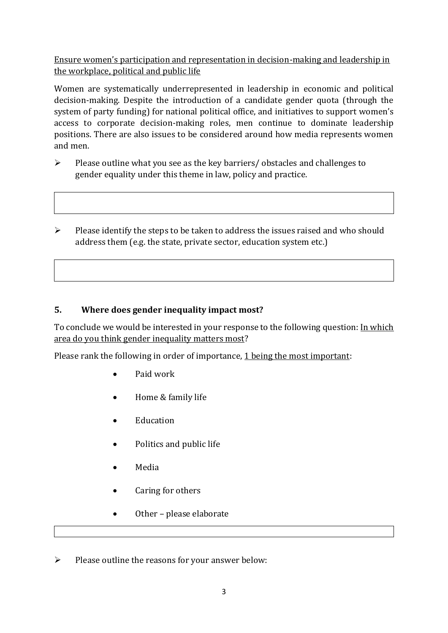Ensure women's participation and representation in decision-making and leadership in the workplace, political and public life

Women are systematically underrepresented in leadership in [economic](https://eige.europa.eu/gender-equality-index/2019/compare-countries/power/2/bar) and [political](https://eige.europa.eu/gender-equality-index/2019/compare-countries/power/1/bar)  [decision-](https://eige.europa.eu/gender-equality-index/2019/compare-countries/power/1/bar)making. Despite the introduction of a candidate gender quota (through the system of party funding) for national political office, and [initiatives](https://betterbalance.ie/) to support women's access to corporate decision-making roles, men continue to dominate leadership positions. There are also issues to be considered around how media represents women and men.

- ➢ Please outline what you see as the key barriers/ obstacles and challenges to gender equality under this theme in law, policy and practice.
- ➢ Please identify the steps to be taken to address the issues raised and who should address them (e.g. the state, private sector, education system etc.)

### **5. Where does gender inequality impact most?**

To conclude we would be interested in your response to the following question: In which area do you think gender inequality matters most?

Please rank the following in order of importance, 1 being the most important:

- Paid work
- Home & family life
- Education
- Politics and public life
- Media
- Caring for others
- Other please elaborate

 $\triangleright$  Please outline the reasons for your answer below: